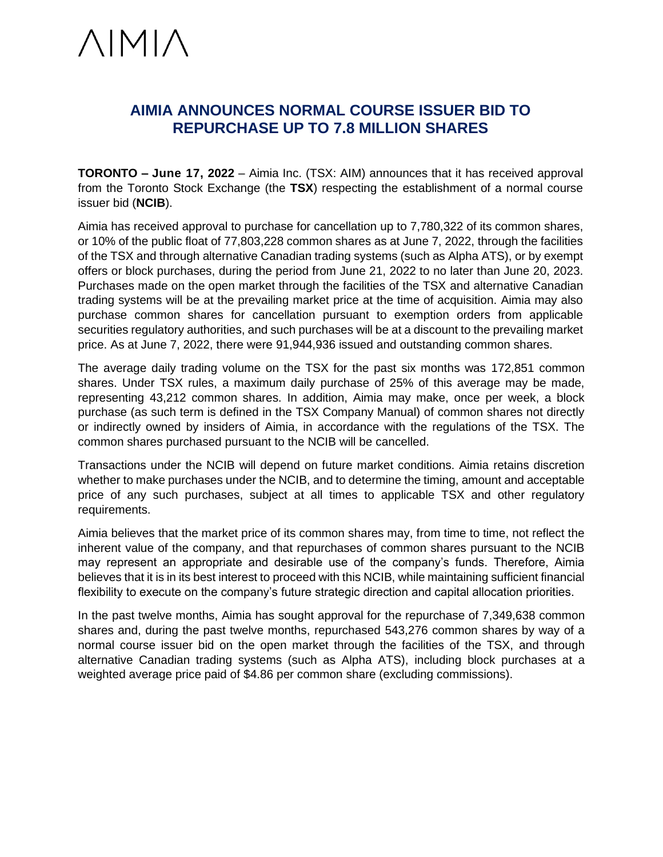# $\triangle IMI\triangle$

## **AIMIA ANNOUNCES NORMAL COURSE ISSUER BID TO REPURCHASE UP TO 7.8 MILLION SHARES**

**TORONTO – June 17, 2022** – Aimia Inc. (TSX: AIM) announces that it has received approval from the Toronto Stock Exchange (the **TSX**) respecting the establishment of a normal course issuer bid (**NCIB**).

Aimia has received approval to purchase for cancellation up to 7,780,322 of its common shares, or 10% of the public float of 77,803,228 common shares as at June 7, 2022, through the facilities of the TSX and through alternative Canadian trading systems (such as Alpha ATS), or by exempt offers or block purchases, during the period from June 21, 2022 to no later than June 20, 2023. Purchases made on the open market through the facilities of the TSX and alternative Canadian trading systems will be at the prevailing market price at the time of acquisition. Aimia may also purchase common shares for cancellation pursuant to exemption orders from applicable securities regulatory authorities, and such purchases will be at a discount to the prevailing market price. As at June 7, 2022, there were 91,944,936 issued and outstanding common shares.

The average daily trading volume on the TSX for the past six months was 172,851 common shares. Under TSX rules, a maximum daily purchase of 25% of this average may be made, representing 43,212 common shares. In addition, Aimia may make, once per week, a block purchase (as such term is defined in the TSX Company Manual) of common shares not directly or indirectly owned by insiders of Aimia, in accordance with the regulations of the TSX. The common shares purchased pursuant to the NCIB will be cancelled.

Transactions under the NCIB will depend on future market conditions. Aimia retains discretion whether to make purchases under the NCIB, and to determine the timing, amount and acceptable price of any such purchases, subject at all times to applicable TSX and other regulatory requirements.

Aimia believes that the market price of its common shares may, from time to time, not reflect the inherent value of the company, and that repurchases of common shares pursuant to the NCIB may represent an appropriate and desirable use of the company's funds. Therefore, Aimia believes that it is in its best interest to proceed with this NCIB, while maintaining sufficient financial flexibility to execute on the company's future strategic direction and capital allocation priorities.

In the past twelve months, Aimia has sought approval for the repurchase of 7,349,638 common shares and, during the past twelve months, repurchased 543,276 common shares by way of a normal course issuer bid on the open market through the facilities of the TSX, and through alternative Canadian trading systems (such as Alpha ATS), including block purchases at a weighted average price paid of \$4.86 per common share (excluding commissions).